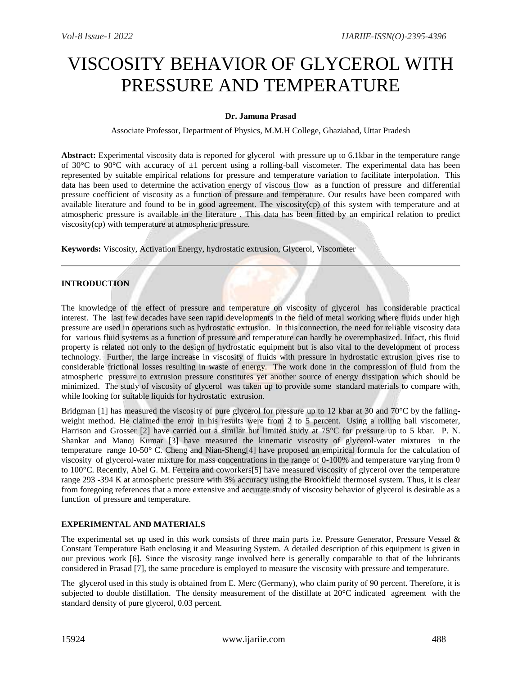# VISCOSITY BEHAVIOR OF GLYCEROL WITH PRESSURE AND TEMPERATURE

# **Dr. Jamuna Prasad**

Associate Professor, Department of Physics, M.M.H College, Ghaziabad, Uttar Pradesh

**Abstract:** Experimental viscosity data is reported for glycerol with pressure up to 6.1kbar in the temperature range of 30 $^{\circ}$ C to 90 $^{\circ}$ C with accuracy of  $\pm 1$  percent using a rolling-ball viscometer. The experimental data has been represented by suitable empirical relations for pressure and temperature variation to facilitate interpolation. This data has been used to determine the activation energy of viscous flow as a function of pressure and differential pressure coefficient of viscosity as a function of pressure and temperature. Our results have been compared with available literature and found to be in good agreement. The viscosity(cp) of this system with temperature and at atmospheric pressure is available in the literature . This data has been fitted by an empirical relation to predict viscosity(cp) with temperature at atmospheric pressure.

**Keywords:** Viscosity, Activation Energy, hydrostatic extrusion, Glycerol, Viscometer

# **INTRODUCTION**

The knowledge of the effect of pressure and temperature on viscosity of glycerol has considerable practical interest. The last few decades have seen rapid developments in the field of metal working where fluids under high pressure are used in operations such as hydrostatic extrusion. In this connection, the need for reliable viscosity data for various fluid systems as a function of pressure and temperature can hardly be overemphasized. Infact, this fluid property is related not only to the design of hydrostatic equipment but is also vital to the development of process technology. Further, the large increase in viscosity of fluids with pressure in hydrostatic extrusion gives rise to considerable frictional losses resulting in waste of energy. The work done in the compression of fluid from the atmospheric pressure to extrusion pressure constitutes yet another source of energy dissipation which should be minimized. The study of viscosity of glycerol was taken up to provide some standard materials to compare with, while looking for suitable liquids for hydrostatic extrusion.

Bridgman [1] has measured the viscosity of pure glycerol for pressure up to 12 kbar at 30 and 70°C by the fallingweight method. He claimed the error in his results were from 2 to 5 percent. Using a rolling ball viscometer, Harrison and Grosser [2] have carried out a similar but limited study at 75°C for pressure up to 5 kbar. P. N. Shankar and Manoj Kumar [3] have measured the kinematic viscosity of glycerol-water mixtures in the temperature range 10-50° C. Cheng and Nian-Sheng[4] have proposed an empirical formula for the calculation of viscosity of glycerol-water mixture for mass concentrations in the range of 0-100% and temperature varying from 0 to 100°C. Recently, Abel G. M. Ferreira and coworkers[5] have measured viscosity of glycerol over the temperature range 293 -394 K at atmospheric pressure with 3% accuracy using the Brookfield thermosel system. Thus, it is clear from foregoing references that a more extensive and accurate study of viscosity behavior of glycerol is desirable as a function of pressure and temperature.

#### **EXPERIMENTAL AND MATERIALS**

The experimental set up used in this work consists of three main parts i.e. Pressure Generator, Pressure Vessel & Constant Temperature Bath enclosing it and Measuring System. A detailed description of this equipment is given in our previous work [6]. Since the viscosity range involved here is generally comparable to that of the lubricants considered in Prasad [7], the same procedure is employed to measure the viscosity with pressure and temperature.

The glycerol used in this study is obtained from E. Merc (Germany), who claim purity of 90 percent. Therefore, it is subjected to double distillation. The density measurement of the distillate at 20°C indicated agreement with the standard density of pure glycerol, 0.03 percent.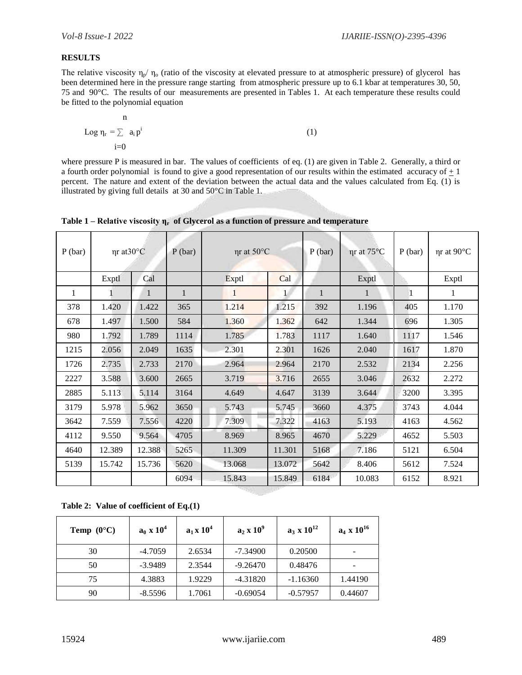# **RESULTS**

The relative viscosity  $\eta_p/\eta_o$  (ratio of the viscosity at elevated pressure to at atmospheric pressure) of glycerol has been determined here in the pressure range starting from atmospheric pressure up to 6.1 kbar at temperatures 30, 50, 75 and 90°C. The results of our measurements are presented in Tables 1. At each temperature these results could be fitted to the polynomial equation

$$
\log \eta_r = \sum_{i=0}^{n} a_i p^i
$$
 (1)

where pressure P is measured in bar. The values of coefficients of eq. (1) are given in Table 2. Generally, a third or a fourth order polynomial is found to give a good representation of our results within the estimated accuracy of  $\pm 1$ percent. The nature and extent of the deviation between the actual data and the values calculated from Eq. (1) is illustrated by giving full details at 30 and 50°C in Table 1.

| $P$ (bar) | ηr at30°C |        | $P$ (bar)    | $\eta$ r at 50 $\rm ^{\circ}C$ |        | P(bar)       | nr at 75°C | $P$ (bar)    | ηr at 90°C |
|-----------|-----------|--------|--------------|--------------------------------|--------|--------------|------------|--------------|------------|
|           | Exptl     | Cal    |              | Exptl                          | Cal    |              | Exptl      |              | Exptl      |
| 1         |           | 1      | $\mathbf{1}$ | 1                              | 1      | $\mathbf{1}$ | 1          | $\mathbf{1}$ | 1          |
| 378       | 1.420     | 1.422  | 365          | 1.214                          | 1.215  | 392          | 1.196      | 405          | 1.170      |
| 678       | 1.497     | 1.500  | 584          | 1.360                          | 1.362  | 642          | 1.344      | 696          | 1.305      |
| 980       | 1.792     | 1.789  | 1114         | 1.785                          | 1.783  | 1117         | 1.640      | 1117         | 1.546      |
| 1215      | 2.056     | 2.049  | 1635         | 2.301                          | 2.301  | 1626         | 2.040      | 1617         | 1.870      |
| 1726      | 2.735     | 2.733  | 2170         | 2.964                          | 2.964  | 2170         | 2.532      | 2134         | 2.256      |
| 2227      | 3.588     | 3.600  | 2665         | 3.719                          | 3.716  | 2655         | 3.046      | 2632         | 2.272      |
| 2885      | 5.113     | 5.114  | 3164         | 4.649                          | 4.647  | 3139         | 3.644      | 3200         | 3.395      |
| 3179      | 5.978     | 5.962  | 3650         | 5.743                          | 5.745  | 3660         | 4.375      | 3743         | 4.044      |
| 3642      | 7.559     | 7.556  | 4220         | 7.309                          | 7.322  | 4163         | 5.193      | 4163         | 4.562      |
| 4112      | 9.550     | 9.564  | 4705         | 8.969                          | 8.965  | 4670         | 5.229      | 4652         | 5.503      |
| 4640      | 12.389    | 12.388 | 5265         | 11.309                         | 11.301 | 5168         | 7.186      | 5121         | 6.504      |
| 5139      | 15.742    | 15.736 | 5620         | 13.068                         | 13.072 | 5642         | 8.406      | 5612         | 7.524      |
|           |           |        | 6094         | 15.843                         | 15.849 | 6184         | 10.083     | 6152         | 8.921      |

| Table 1 – Relative viscosity $\eta_r$ of Glycerol as a function of pressure and temperature |  |  |
|---------------------------------------------------------------------------------------------|--|--|
|---------------------------------------------------------------------------------------------|--|--|

**Table 2: Value of coefficient of Eq.(1)**

| <b>Temp</b> $(0^{\circ}C)$ | $a_0 \times 10^4$ | $a_1 x 10^4$ | $a_2 \times 10^9$ | $a_3 \times 10^{12}$ | $a_4 \times 10^{16}$ |
|----------------------------|-------------------|--------------|-------------------|----------------------|----------------------|
| 30                         | $-4.7059$         | 2.6534       | $-7.34900$        | 0.20500              |                      |
| 50                         | $-3.9489$         | 2.3544       | $-9.26470$        | 0.48476              |                      |
| 75                         | 4.3883            | 1.9229       | $-4.31820$        | $-1.16360$           | 1.44190              |
| 90                         | $-8.5596$         | 1.7061       | $-0.69054$        | $-0.57957$           | 0.44607              |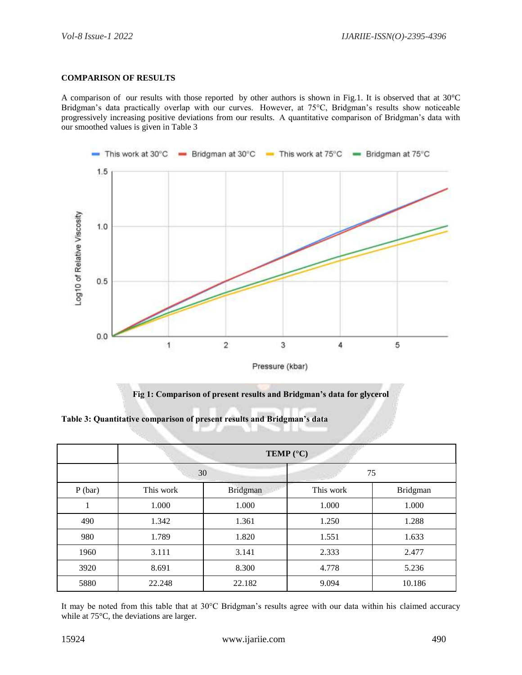#### **COMPARISON OF RESULTS**

A comparison of our results with those reported by other authors is shown in Fig.1. It is observed that at 30°C Bridgman's data practically overlap with our curves. However, at 75°C, Bridgman's results show noticeable progressively increasing positive deviations from our results. A quantitative comparison of Bridgman's data with our smoothed values is given in Table 3



**Fig 1: Comparison of present results and Bridgman's data for glycerol**

**Table 3: Quantitative comparison of present results and Bridgman's data**

|        | <b>TEMP</b> ( $^{\circ}$ C) |          |           |          |  |  |  |
|--------|-----------------------------|----------|-----------|----------|--|--|--|
|        |                             | 30       |           | 75       |  |  |  |
| P(bar) | This work                   | Bridgman | This work | Bridgman |  |  |  |
|        | 1.000                       | 1.000    | 1.000     | 1.000    |  |  |  |
| 490    | 1.342                       | 1.361    | 1.250     | 1.288    |  |  |  |
| 980    | 1.789                       | 1.820    | 1.551     | 1.633    |  |  |  |
| 1960   | 3.111                       | 3.141    | 2.333     | 2.477    |  |  |  |
| 3920   | 8.691                       | 8.300    | 4.778     | 5.236    |  |  |  |
| 5880   | 22.248                      | 22.182   | 9.094     | 10.186   |  |  |  |

It may be noted from this table that at 30°C Bridgman's results agree with our data within his claimed accuracy while at 75°C, the deviations are larger.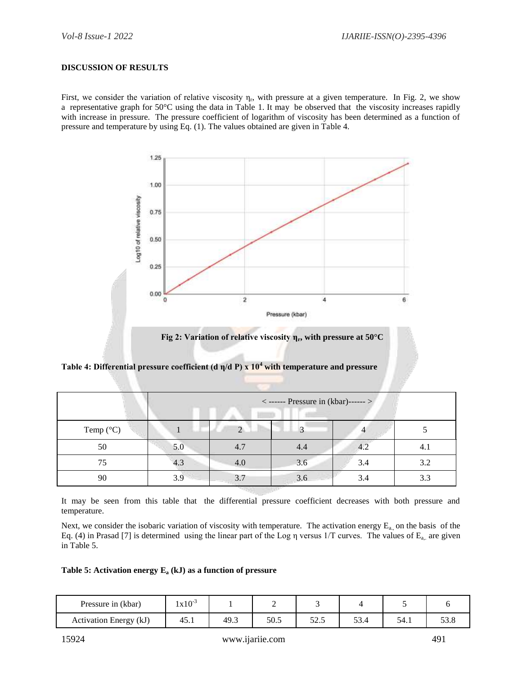#### **DISCUSSION OF RESULTS**

First, we consider the variation of relative viscosity  $\eta_r$ , with pressure at a given temperature. In Fig. 2, we show a representative graph for 50°C using the data in Table 1. It may be observed that the viscosity increases rapidly with increase in pressure. The pressure coefficient of logarithm of viscosity has been determined as a function of pressure and temperature by using Eq. (1). The values obtained are given in Table 4.



**Table 4: Differential pressure coefficient (d η/d P) x 10<sup>4</sup> with temperature and pressure**

|                    | $\langle$ ------ Pressure in (kbar)------ > |          |     |     |     |  |  |
|--------------------|---------------------------------------------|----------|-----|-----|-----|--|--|
| Temp $(^{\circ}C)$ |                                             | $\Omega$ | 3   |     |     |  |  |
| 50                 | 5.0                                         | 4.7      | 4.4 | 4.2 | 4.1 |  |  |
| 75                 | 4.3                                         | 4.0      | 3.6 | 3.4 | 3.2 |  |  |
| 90                 | 3.9                                         | 3.7      | 3.6 | 3.4 | 3.3 |  |  |

It may be seen from this table that the differential pressure coefficient decreases with both pressure and temperature.

Next, we consider the isobaric variation of viscosity with temperature. The activation energy  $E_{a}$  on the basis of the Eq. (4) in Prasad [7] is determined using the linear part of the Log  $\eta$  versus 1/T curves. The values of E<sub>a,</sub> are given in Table 5.

#### **Table 5: Activation energy E<sup>a</sup> (kJ) as a function of pressure**

| Pressure in (kbar)     | $1x10^{-3}$ |      |      |                                  |                    |       |  |
|------------------------|-------------|------|------|----------------------------------|--------------------|-------|--|
| Activation Energy (kJ) | 40.1        | 49.3 | 50.5 | $\overline{\phantom{a}}$<br>ن. ۱ | $\sqrt{2}$<br>◡◡.¬ | ידי — |  |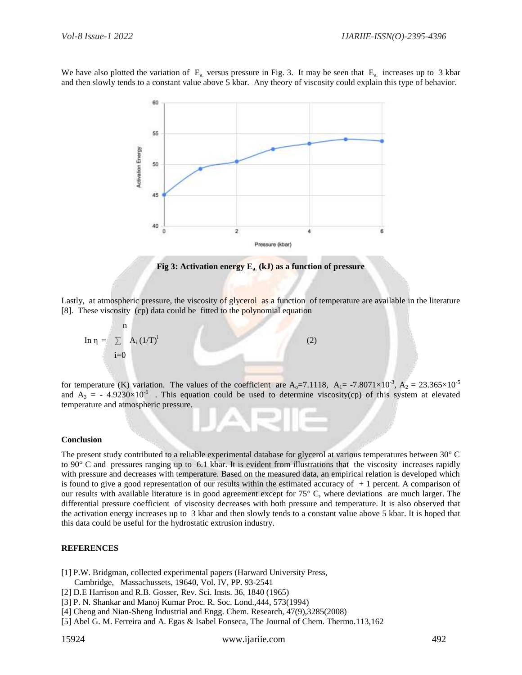We have also plotted the variation of  $E_a$  versus pressure in Fig. 3. It may be seen that  $E_a$  increases up to 3 kbar and then slowly tends to a constant value above 5 kbar. Any theory of viscosity could explain this type of behavior.



**Fig 3: Activation energy Ea. (kJ) as a function of pressure**

Lastly, at atmospheric pressure, the viscosity of glycerol as a function of temperature are available in the literature [8]. These viscosity (cp) data could be fitted to the polynomial equation



for temperature (K) variation. The values of the coefficient are  $A_0 = 7.1118$ ,  $A_1 = -7.8071 \times 10^{-3}$ ,  $A_2 = 23.365 \times 10^{-5}$ and  $A_3 = -4.9230 \times 10^{-6}$ . This equation could be used to determine viscosity(cp) of this system at elevated temperature and atmospheric pressure.

#### **Conclusion**

The present study contributed to a reliable experimental database for glycerol at various temperatures between 30° C to 90° C and pressures ranging up to 6.1 kbar. It is evident from illustrations that the viscosity increases rapidly with pressure and decreases with temperature. Based on the measured data, an empirical relation is developed which is found to give a good representation of our results within the estimated accuracy of  $+1$  percent. A comparison of our results with available literature is in good agreement except for 75° C, where deviations are much larger. The differential pressure coefficient of viscosity decreases with both pressure and temperature. It is also observed that the activation energy increases up to 3 kbar and then slowly tends to a constant value above 5 kbar. It is hoped that this data could be useful for the hydrostatic extrusion industry.

#### **REFERENCES**

[1] P.W. Bridgman, collected experimental papers (Harward University Press,

- Cambridge, Massachussets, 19640, Vol. IV, PP. 93-2541 [2] D.E Harrison and R.B. Gosser, Rev. Sci. Insts. 36, 1840 (1965)
- [3] P. N. Shankar and Manoj Kumar Proc. R. Soc. Lond.,444, 573(1994)
- 
- [4] Cheng and Nian-Sheng Industrial and Engg. Chem. Research, 47(9),3285(2008)
- [5] Abel G. M. Ferreira and A. Egas & Isabel Fonseca, The Journal of Chem. Thermo.113,162